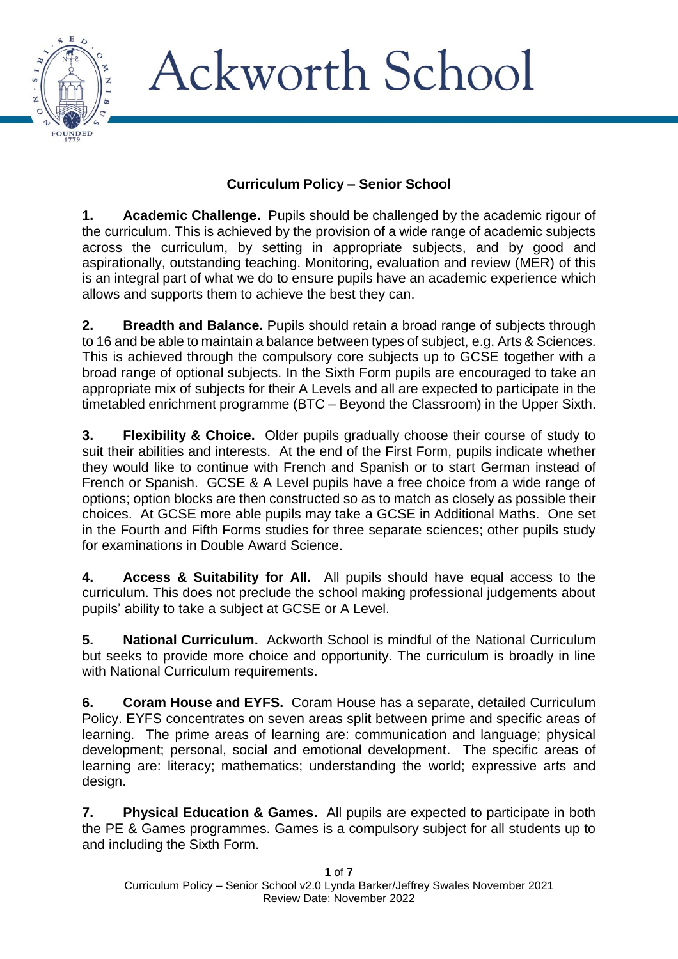

#### **Curriculum Policy – Senior School**

**1. Academic Challenge.** Pupils should be challenged by the academic rigour of the curriculum. This is achieved by the provision of a wide range of academic subjects across the curriculum, by setting in appropriate subjects, and by good and aspirationally, outstanding teaching. Monitoring, evaluation and review (MER) of this is an integral part of what we do to ensure pupils have an academic experience which allows and supports them to achieve the best they can.

**2. Breadth and Balance.** Pupils should retain a broad range of subjects through to 16 and be able to maintain a balance between types of subject, e.g. Arts & Sciences. This is achieved through the compulsory core subjects up to GCSE together with a broad range of optional subjects. In the Sixth Form pupils are encouraged to take an appropriate mix of subjects for their A Levels and all are expected to participate in the timetabled enrichment programme (BTC – Beyond the Classroom) in the Upper Sixth.

**3. Flexibility & Choice.** Older pupils gradually choose their course of study to suit their abilities and interests. At the end of the First Form, pupils indicate whether they would like to continue with French and Spanish or to start German instead of French or Spanish. GCSE & A Level pupils have a free choice from a wide range of options; option blocks are then constructed so as to match as closely as possible their choices. At GCSE more able pupils may take a GCSE in Additional Maths. One set in the Fourth and Fifth Forms studies for three separate sciences; other pupils study for examinations in Double Award Science.

**4. Access & Suitability for All.** All pupils should have equal access to the curriculum. This does not preclude the school making professional judgements about pupils' ability to take a subject at GCSE or A Level.

**5. National Curriculum.** Ackworth School is mindful of the National Curriculum but seeks to provide more choice and opportunity. The curriculum is broadly in line with National Curriculum requirements.

**6. Coram House and EYFS.** Coram House has a separate, detailed Curriculum Policy. EYFS concentrates on seven areas split between prime and specific areas of learning. The prime areas of learning are: communication and language; physical development; personal, social and emotional development. The specific areas of learning are: literacy; mathematics; understanding the world; expressive arts and design.

**7. Physical Education & Games.** All pupils are expected to participate in both the PE & Games programmes. Games is a compulsory subject for all students up to and including the Sixth Form.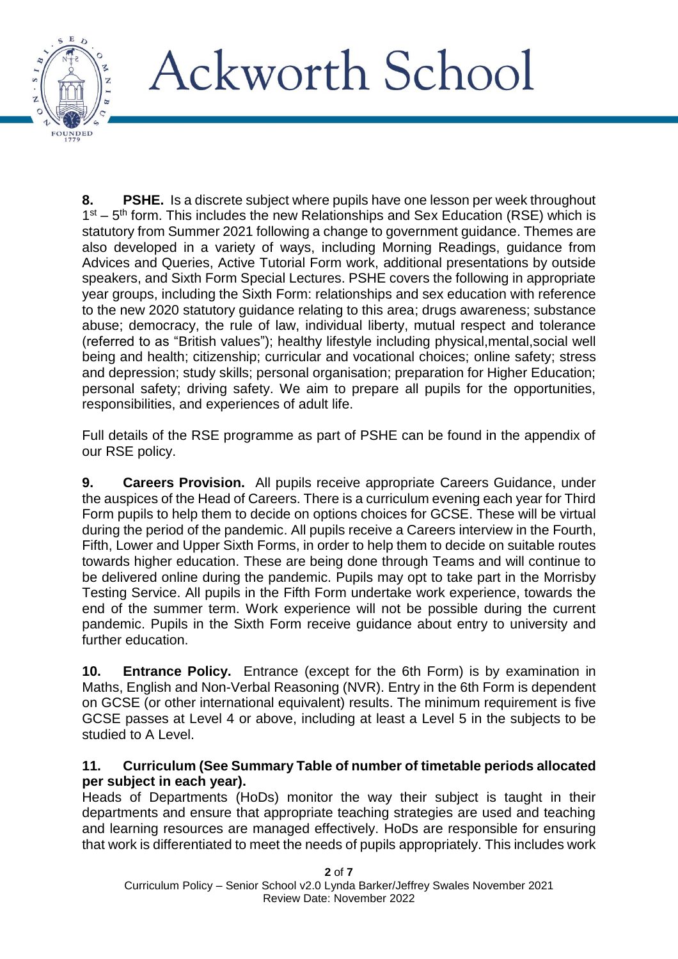

**8. PSHE.** Is a discrete subject where pupils have one lesson per week throughout  $1<sup>st</sup> - 5<sup>th</sup>$  form. This includes the new Relationships and Sex Education (RSE) which is statutory from Summer 2021 following a change to government guidance. Themes are also developed in a variety of ways, including Morning Readings, guidance from Advices and Queries, Active Tutorial Form work, additional presentations by outside speakers, and Sixth Form Special Lectures. PSHE covers the following in appropriate year groups, including the Sixth Form: relationships and sex education with reference to the new 2020 statutory guidance relating to this area; drugs awareness; substance abuse; democracy, the rule of law, individual liberty, mutual respect and tolerance (referred to as "British values"); healthy lifestyle including physical,mental,social well being and health; citizenship; curricular and vocational choices; online safety; stress and depression; study skills; personal organisation; preparation for Higher Education; personal safety; driving safety. We aim to prepare all pupils for the opportunities, responsibilities, and experiences of adult life.

Full details of the RSE programme as part of PSHE can be found in the appendix of our RSE policy.

**9. Careers Provision.** All pupils receive appropriate Careers Guidance, under the auspices of the Head of Careers. There is a curriculum evening each year for Third Form pupils to help them to decide on options choices for GCSE. These will be virtual during the period of the pandemic. All pupils receive a Careers interview in the Fourth, Fifth, Lower and Upper Sixth Forms, in order to help them to decide on suitable routes towards higher education. These are being done through Teams and will continue to be delivered online during the pandemic. Pupils may opt to take part in the Morrisby Testing Service. All pupils in the Fifth Form undertake work experience, towards the end of the summer term. Work experience will not be possible during the current pandemic. Pupils in the Sixth Form receive guidance about entry to university and further education.

**10. Entrance Policy.** Entrance (except for the 6th Form) is by examination in Maths, English and Non-Verbal Reasoning (NVR). Entry in the 6th Form is dependent on GCSE (or other international equivalent) results. The minimum requirement is five GCSE passes at Level 4 or above, including at least a Level 5 in the subjects to be studied to A Level.

#### **11. Curriculum (See Summary Table of number of timetable periods allocated per subject in each year).**

Heads of Departments (HoDs) monitor the way their subject is taught in their departments and ensure that appropriate teaching strategies are used and teaching and learning resources are managed effectively. HoDs are responsible for ensuring that work is differentiated to meet the needs of pupils appropriately. This includes work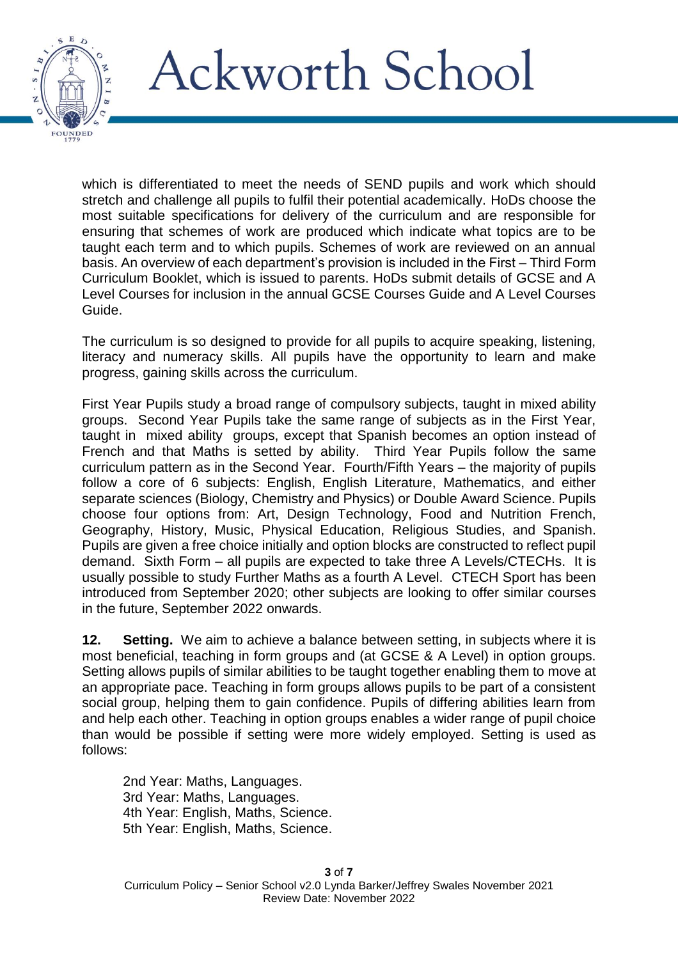

which is differentiated to meet the needs of SEND pupils and work which should stretch and challenge all pupils to fulfil their potential academically. HoDs choose the most suitable specifications for delivery of the curriculum and are responsible for ensuring that schemes of work are produced which indicate what topics are to be taught each term and to which pupils. Schemes of work are reviewed on an annual basis. An overview of each department's provision is included in the First – Third Form Curriculum Booklet, which is issued to parents. HoDs submit details of GCSE and A Level Courses for inclusion in the annual GCSE Courses Guide and A Level Courses Guide.

The curriculum is so designed to provide for all pupils to acquire speaking, listening, literacy and numeracy skills. All pupils have the opportunity to learn and make progress, gaining skills across the curriculum.

First Year Pupils study a broad range of compulsory subjects, taught in mixed ability groups. Second Year Pupils take the same range of subjects as in the First Year, taught in mixed ability groups, except that Spanish becomes an option instead of French and that Maths is setted by ability. Third Year Pupils follow the same curriculum pattern as in the Second Year. Fourth/Fifth Years – the majority of pupils follow a core of 6 subjects: English, English Literature, Mathematics, and either separate sciences (Biology, Chemistry and Physics) or Double Award Science. Pupils choose four options from: Art, Design Technology, Food and Nutrition French, Geography, History, Music, Physical Education, Religious Studies, and Spanish. Pupils are given a free choice initially and option blocks are constructed to reflect pupil demand. Sixth Form – all pupils are expected to take three A Levels/CTECHs. It is usually possible to study Further Maths as a fourth A Level. CTECH Sport has been introduced from September 2020; other subjects are looking to offer similar courses in the future, September 2022 onwards.

**12. Setting.** We aim to achieve a balance between setting, in subjects where it is most beneficial, teaching in form groups and (at GCSE & A Level) in option groups. Setting allows pupils of similar abilities to be taught together enabling them to move at an appropriate pace. Teaching in form groups allows pupils to be part of a consistent social group, helping them to gain confidence. Pupils of differing abilities learn from and help each other. Teaching in option groups enables a wider range of pupil choice than would be possible if setting were more widely employed. Setting is used as follows:

2nd Year: Maths, Languages. 3rd Year: Maths, Languages. 4th Year: English, Maths, Science. 5th Year: English, Maths, Science.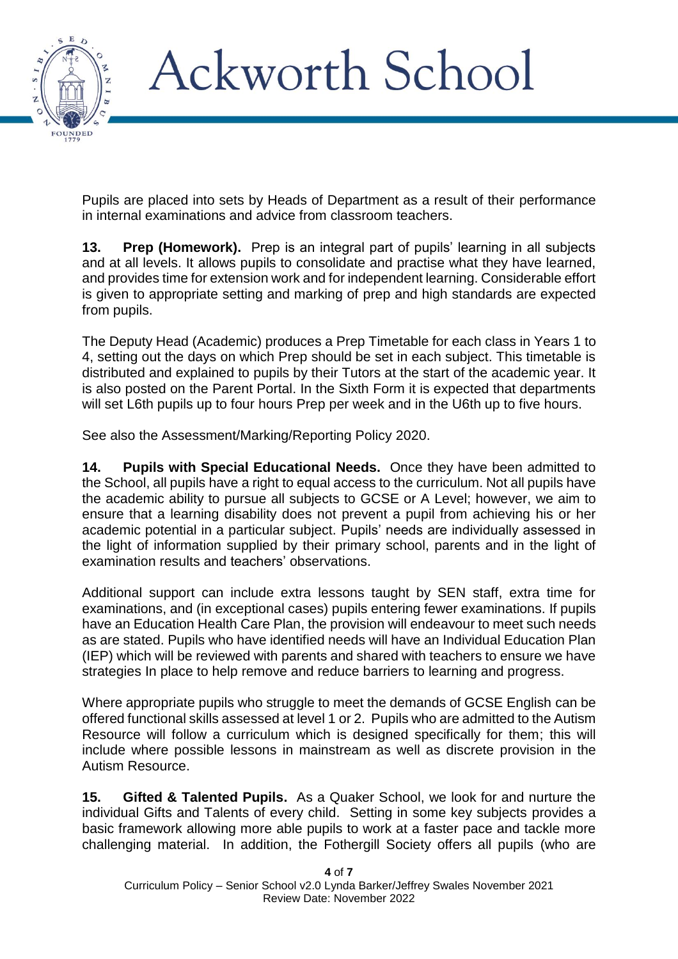

Pupils are placed into sets by Heads of Department as a result of their performance in internal examinations and advice from classroom teachers.

**13. Prep (Homework).** Prep is an integral part of pupils' learning in all subjects and at all levels. It allows pupils to consolidate and practise what they have learned, and provides time for extension work and for independent learning. Considerable effort is given to appropriate setting and marking of prep and high standards are expected from pupils.

The Deputy Head (Academic) produces a Prep Timetable for each class in Years 1 to 4, setting out the days on which Prep should be set in each subject. This timetable is distributed and explained to pupils by their Tutors at the start of the academic year. It is also posted on the Parent Portal. In the Sixth Form it is expected that departments will set L6th pupils up to four hours Prep per week and in the U6th up to five hours.

See also the Assessment/Marking/Reporting Policy 2020.

**14. Pupils with Special Educational Needs.** Once they have been admitted to the School, all pupils have a right to equal access to the curriculum. Not all pupils have the academic ability to pursue all subjects to GCSE or A Level; however, we aim to ensure that a learning disability does not prevent a pupil from achieving his or her academic potential in a particular subject. Pupils' needs are individually assessed in the light of information supplied by their primary school, parents and in the light of examination results and teachers' observations.

Additional support can include extra lessons taught by SEN staff, extra time for examinations, and (in exceptional cases) pupils entering fewer examinations. If pupils have an Education Health Care Plan, the provision will endeavour to meet such needs as are stated. Pupils who have identified needs will have an Individual Education Plan (IEP) which will be reviewed with parents and shared with teachers to ensure we have strategies In place to help remove and reduce barriers to learning and progress.

Where appropriate pupils who struggle to meet the demands of GCSE English can be offered functional skills assessed at level 1 or 2. Pupils who are admitted to the Autism Resource will follow a curriculum which is designed specifically for them; this will include where possible lessons in mainstream as well as discrete provision in the Autism Resource.

**15. Gifted & Talented Pupils.** As a Quaker School, we look for and nurture the individual Gifts and Talents of every child. Setting in some key subjects provides a basic framework allowing more able pupils to work at a faster pace and tackle more challenging material. In addition, the Fothergill Society offers all pupils (who are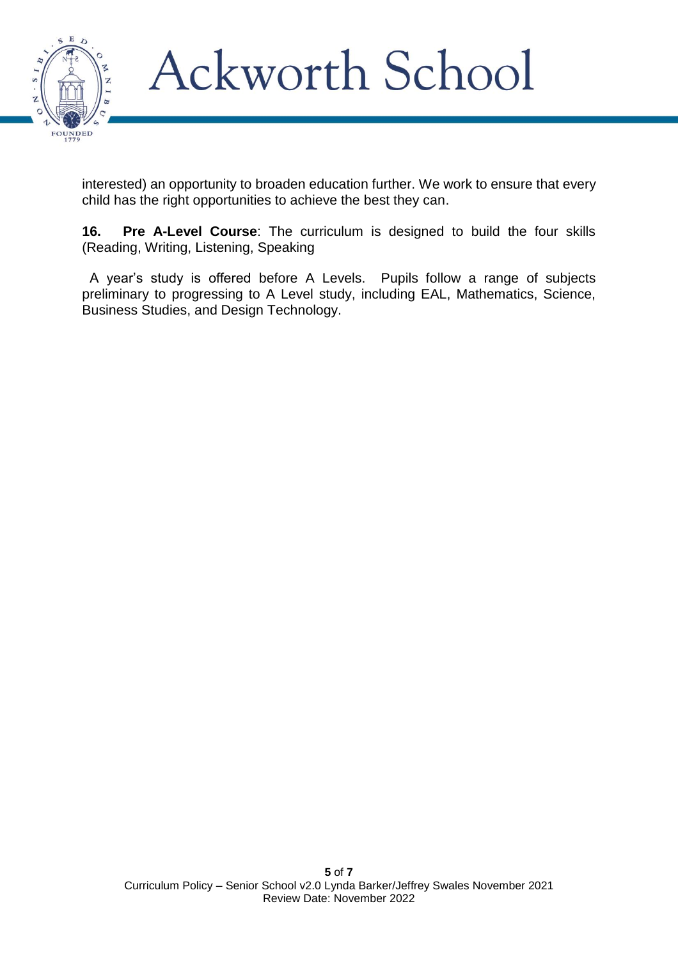

interested) an opportunity to broaden education further. We work to ensure that every child has the right opportunities to achieve the best they can.

**16. Pre A-Level Course**: The curriculum is designed to build the four skills (Reading, Writing, Listening, Speaking

A year's study is offered before A Levels. Pupils follow a range of subjects preliminary to progressing to A Level study, including EAL, Mathematics, Science, Business Studies, and Design Technology.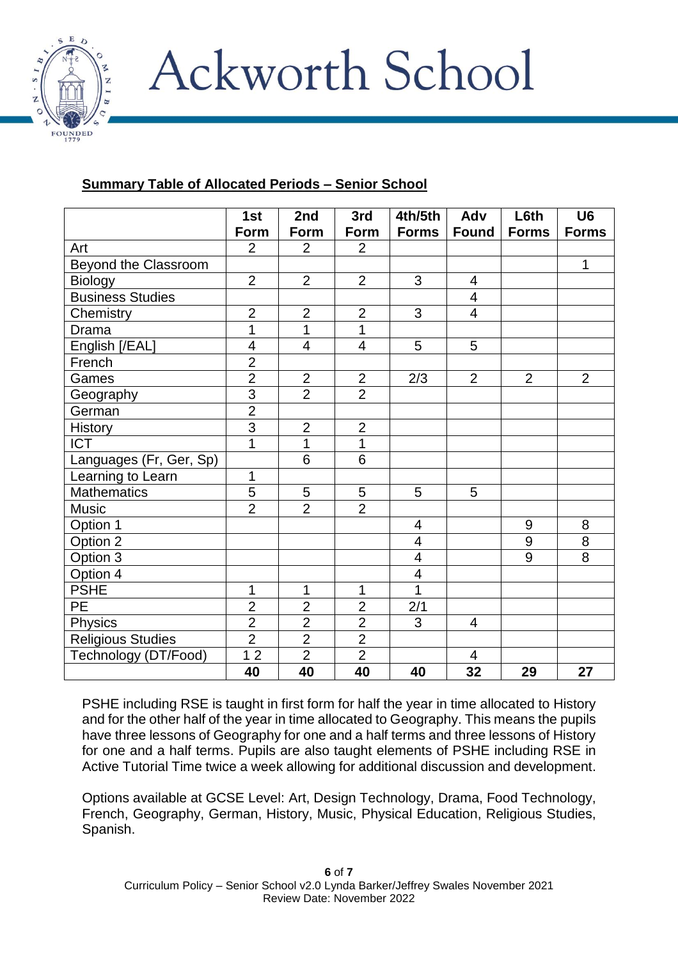

#### **Summary Table of Allocated Periods – Senior School**

|                          | 1st<br><b>Form</b>       | 2nd<br>Form    | 3rd<br><b>Form</b> | 4th/5th<br><b>Forms</b>  | Adv<br><b>Found</b> | L6th<br><b>Forms</b> | U <sub>6</sub><br><b>Forms</b> |
|--------------------------|--------------------------|----------------|--------------------|--------------------------|---------------------|----------------------|--------------------------------|
| Art                      | $\overline{2}$           | $\overline{2}$ | $\overline{2}$     |                          |                     |                      |                                |
| Beyond the Classroom     |                          |                |                    |                          |                     |                      | 1                              |
| <b>Biology</b>           | $\overline{2}$           | $\overline{2}$ | $\overline{2}$     | 3                        | 4                   |                      |                                |
| <b>Business Studies</b>  |                          |                |                    |                          | $\overline{4}$      |                      |                                |
| Chemistry                | $\overline{2}$           | $\overline{2}$ | $\overline{2}$     | 3                        | $\overline{4}$      |                      |                                |
| Drama                    | 1                        | $\mathbf 1$    | 1                  |                          |                     |                      |                                |
| English [/EAL]           | $\overline{\mathcal{A}}$ | $\overline{4}$ | $\overline{4}$     | 5                        | 5                   |                      |                                |
| French                   | $\overline{2}$           |                |                    |                          |                     |                      |                                |
| Games                    | $\overline{2}$           | $\overline{2}$ | $\overline{2}$     | 2/3                      | $\overline{2}$      | $\overline{2}$       | $\overline{2}$                 |
| Geography                | $\overline{3}$           | $\overline{2}$ | $\overline{2}$     |                          |                     |                      |                                |
| German                   | $\overline{2}$           |                |                    |                          |                     |                      |                                |
| <b>History</b>           | $\overline{3}$           | $\overline{2}$ | $\overline{2}$     |                          |                     |                      |                                |
| <b>ICT</b>               | 1                        | $\mathbf 1$    | 1                  |                          |                     |                      |                                |
| Languages (Fr, Ger, Sp)  |                          | 6              | 6                  |                          |                     |                      |                                |
| Learning to Learn        | 1                        |                |                    |                          |                     |                      |                                |
| <b>Mathematics</b>       | 5                        | $\overline{5}$ | 5                  | 5                        | 5                   |                      |                                |
| Music                    | $\overline{2}$           | $\overline{2}$ | $\overline{2}$     |                          |                     |                      |                                |
| Option 1                 |                          |                |                    | $\overline{4}$           |                     | $9\,$                | 8                              |
| Option 2                 |                          |                |                    | $\overline{\mathcal{A}}$ |                     | $9\,$                | 8                              |
| Option $3$               |                          |                |                    | 4                        |                     | $\overline{9}$       | 8                              |
| Option 4                 |                          |                |                    | $\overline{4}$           |                     |                      |                                |
| <b>PSHE</b>              | 1                        | $\mathbf{1}$   | 1                  | 1                        |                     |                      |                                |
| PE                       | $\overline{2}$           | $\overline{2}$ | $\overline{2}$     | 2/1                      |                     |                      |                                |
| Physics                  | $\overline{2}$           | $\overline{2}$ | $\overline{2}$     | 3                        | $\overline{4}$      |                      |                                |
| <b>Religious Studies</b> | $\overline{2}$           | $\overline{2}$ | $\overline{2}$     |                          |                     |                      |                                |
| Technology (DT/Food)     | $\overline{12}$          | $\overline{2}$ | $\overline{2}$     |                          | $\overline{4}$      |                      |                                |
|                          | 40                       | 40             | 40                 | 40                       | $\overline{32}$     | 29                   | 27                             |

PSHE including RSE is taught in first form for half the year in time allocated to History and for the other half of the year in time allocated to Geography. This means the pupils have three lessons of Geography for one and a half terms and three lessons of History for one and a half terms. Pupils are also taught elements of PSHE including RSE in Active Tutorial Time twice a week allowing for additional discussion and development.

Options available at GCSE Level: Art, Design Technology, Drama, Food Technology, French, Geography, German, History, Music, Physical Education, Religious Studies, Spanish.